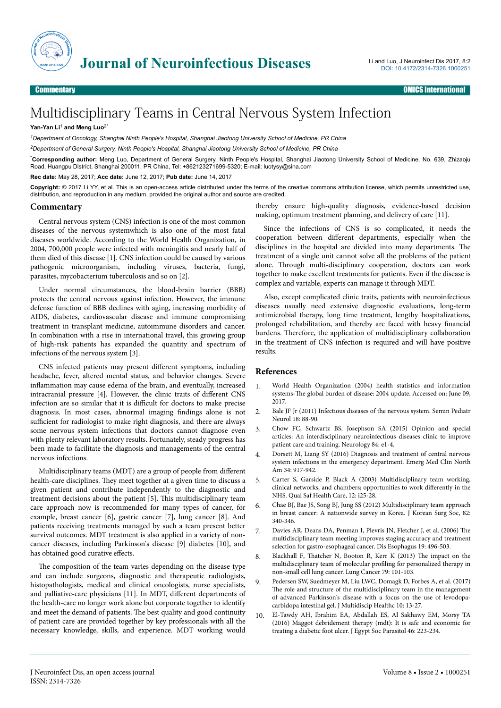

## Multidisciplinary Teams in Central Nervous System Infection

## Yan-Yan Li<sup>1</sup> and Meng Luo<sup>2\*</sup>

*<sup>1</sup>Department of Oncology, Shanghai Ninth People's Hospital, Shanghai Jiaotong University School of Medicine, PR China*

*<sup>2</sup>Department of General Surgery, Ninth People's Hospital, Shanghai Jiaotong University School of Medicine, PR China*

\***Corresponding author:** Meng Luo, Department of General Surgery, Ninth People's Hospital, Shanghai Jiaotong University School of Medicine, No. 639, Zhizaoju Road, Huangpu District, Shanghai 200011, PR China, Tel: +862123271699-5320; E-mail: luotysy@sina.com

**Rec date:** May 28, 2017; **Acc date:** June 12, 2017; **Pub date:** June 14, 2017

**Copyright:** © 2017 Li YY, et al. This is an open-access article distributed under the terms of the creative commons attribution license, which permits unrestricted use, distribution, and reproduction in any medium, provided the original author and source are credited.

## **Commentary**

Central nervous system (CNS) infection is one of the most common diseases of the nervous systemwhich is also one of the most fatal diseases worldwide. According to the World Health Organization, in 2004, 700,000 people were infected with meningitis and nearly half of them died of this disease [1]. CNS infection could be caused by various pathogenic microorganism, including viruses, bacteria, fungi, parasites, mycobacterium tuberculosis and so on [2].

Under normal circumstances, the blood-brain barrier (BBB) protects the central nervous against infection. However, the immune defense function of BBB declines with aging, increasing morbidity of AIDS, diabetes, cardiovascular disease and immune compromising treatment in transplant medicine, autoimmune disorders and cancer. In combination with a rise in international travel, this growing group of high-risk patients has expanded the quantity and spectrum of infections of the nervous system [3].

CNS infected patients may present different symptoms, including headache, fever, altered mental status, and behavior changes. Severe inflammation may cause edema of the brain, and eventually, increased intracranial pressure [4]. However, the clinic traits of different CNS infection are so similar that it is difficult for doctors to make precise diagnosis. In most cases, abnormal imaging findings alone is not sufficient for radiologist to make right diagnosis, and there are always some nervous system infections that doctors cannot diagnose even with plenty relevant laboratory results. Fortunately, steady progress has been made to facilitate the diagnosis and managements of the central nervous infections.

Multidisciplinary teams (MDT) are a group of people from different health-care disciplines. They meet together at a given time to discuss a given patient and contribute independently to the diagnostic and treatment decisions about the patient [5]. Нis multidisciplinary team care approach now is recommended for many types of cancer, for example, breast cancer [6], gastric cancer [7], lung cancer [8]. And patients receiving treatments managed by such a team present better survival outcomes. MDT treatment is also applied in a variety of noncancer diseases, including Parkinson's disease [9] diabetes [10], and has obtained good curative effects.

The composition of the team varies depending on the disease type and can include surgeons, diagnostic and therapeutic radiologists, histopathologists, medical and clinical oncologists, nurse specialists, and palliative-care physicians [11]. In MDT, different departments of the health-care no longer work alone but corporate together to identify and meet the demand of patients. Нe best quality and good continuity of patient care are provided together by key professionals with all the necessary knowledge, skills, and experience. MDT working would thereby ensure high-quality diagnosis, evidence-based decision making, optimum treatment planning, and delivery of care [11].

Since the infections of CNS is so complicated, it needs the cooperation between different departments, especially when the disciplines in the hospital are divided into many departments. Нe treatment of a single unit cannot solve all the problems of the patient alone. Нrough multi-disciplinary cooperation, doctors can work together to make excellent treatments for patients. Even if the disease is complex and variable, experts can manage it through MDT.

Also, except complicated clinic traits, patients with neuroinfectious diseases usually need extensive diagnostic evaluations, long-term antimicrobial therapy, long time treatment, lengthy hospitalizations, prolonged rehabilitation, and thereby are faced with heavy financial burdens. Нerefore, the application of multidisciplinary collaboration in the treatment of CNS infection is required and will have positive results.

## **References**

- 1. [World Health Organization \(2004\) health statistics and information](http://www.who.int/healthinfo/global_burden_disease/2004_report_update/en/) systems-The [global burden of disease: 2004 update. Accessed on: June 09,](http://www.who.int/healthinfo/global_burden_disease/2004_report_update/en/) [2017.](http://www.who.int/healthinfo/global_burden_disease/2004_report_update/en/)
- 2. [Bale JF Jr \(2011\) Infectious diseases of the nervous system. Semin Pediatr](http://dx.doi.org/10.1016/j.spen.2011.05.015) [Neurol 18: 88-90.](http://dx.doi.org/10.1016/j.spen.2011.05.015)
- 3. [Chow FC, Schwartz BS, Josephson SA \(2015\) Opinion and special](http://dx.doi.org/10.1212/WNL.0000000000001097) [articles: An interdisciplinary neuroinfectious diseases clinic to improve](http://dx.doi.org/10.1212/WNL.0000000000001097) [patient care and training. Neurology 84: e1-4.](http://dx.doi.org/10.1212/WNL.0000000000001097)
- 4. [Dorsett M, Liang SY \(2016\) Diagnosis and treatment of central nervous](http://dx.doi.org/10.1016/j.emc.2016.06.013) [system infections in the emergency department. Emerg Med Clin North](http://dx.doi.org/10.1016/j.emc.2016.06.013) [Am 34: 917-942.](http://dx.doi.org/10.1016/j.emc.2016.06.013)
- 5. Carter S, Garside P, Black A (2003) Multidisciplinary team working, clinical networks, and chambers; opportunities to work differently in the NHS. Qual Saf Health Care, 12: i25-28.
- 6. [Chae BJ, Bae JS, Song BJ, Jung SS \(2012\) Multidisciplinary team approach](http://dx.doi.org/10.4174/jkss.2012.82.6.340) [in breast cancer: A nationwide survey in Korea. J Korean Surg Soc, 82:](http://dx.doi.org/10.4174/jkss.2012.82.6.340) [340-346.](http://dx.doi.org/10.4174/jkss.2012.82.6.340)
- 7. [Davies AR, Deans DA, Penman I, Plevris JN, Fletcher J, et al. \(2006\)](http://dx.doi.org/10.1111/j.1442-2050.2006.00629.x) Нe [multidisciplinary team meeting improves staging accuracy and treatment](http://dx.doi.org/10.1111/j.1442-2050.2006.00629.x) [selection for gastro-esophageal cancer. Dis Esophagus 19: 496-503.](http://dx.doi.org/10.1111/j.1442-2050.2006.00629.x)
- 8. Blackhall F, Thatcher [N, Booton R, Kerr K \(2013\)](http://dx.doi.org/10.1016/j.lungcan.2012.10.016) The impact on the [multidisciplinary team of molecular](http://dx.doi.org/10.1016/j.lungcan.2012.10.016) profiling for personalized therapy in [non-small cell lung cancer. Lung Cancer 79: 101-103.](http://dx.doi.org/10.1016/j.lungcan.2012.10.016)
- 9. [Pedersen SW, Suedmeyer M, Liu LWC, Domagk D, Forbes A, et al. \(2017\)](http://dx.doi.org/10.2147/JMDH.S111369) The [role and structure of the multidisciplinary team in the management](http://dx.doi.org/10.2147/JMDH.S111369) [of advanced Parkinson's disease with a focus on the use of levodopa](http://dx.doi.org/10.2147/JMDH.S111369)[carbidopa intestinal gel. J Multidiscip Healthc 10: 13-27.](http://dx.doi.org/10.2147/JMDH.S111369)
- 10. [El-Tawdy AH, Ibrahim EA, Abdallah ES, Al Sakhawy EM, Morsy TA](http://dx.doi.org/10.12816/0026168) [\(2016\) Maggot debridement therapy \(mdt\): It is safe and economic for](http://dx.doi.org/10.12816/0026168) [treating a diabetic foot ulcer. J Egypt Soc Parasitol 46: 223-234.](http://dx.doi.org/10.12816/0026168)